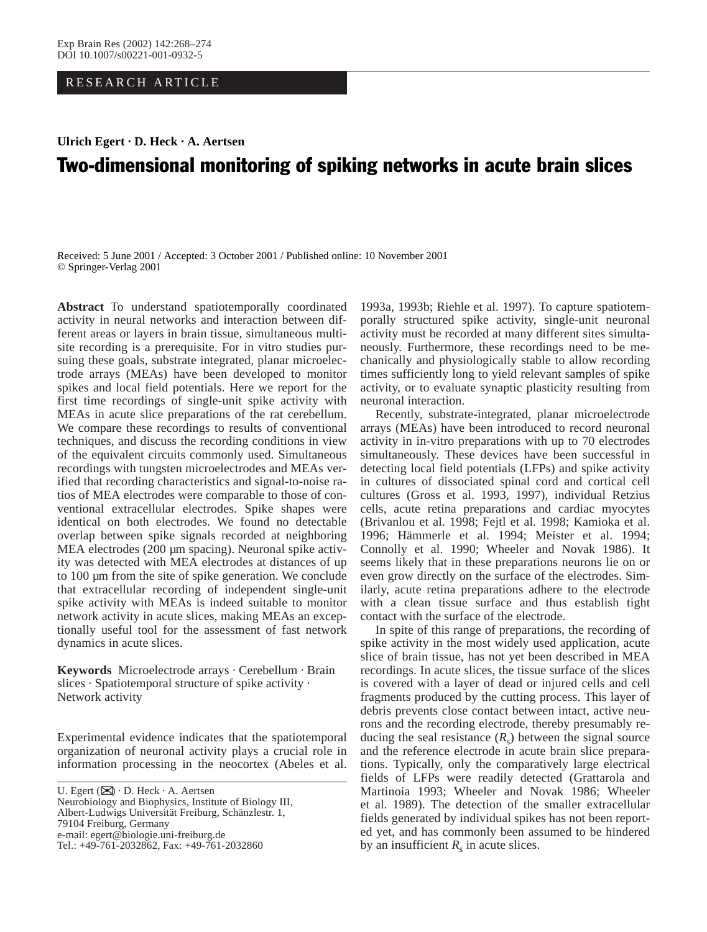RESEARCH ARTICLE

**Ulrich Egert · D. Heck · A. Aertsen**

# Two-dimensional monitoring of spiking networks in acute brain slices

Received: 5 June 2001 / Accepted: 3 October 2001 / Published online: 10 November 2001 © Springer-Verlag 2001

**Abstract** To understand spatiotemporally coordinated activity in neural networks and interaction between different areas or layers in brain tissue, simultaneous multisite recording is a prerequisite. For in vitro studies pursuing these goals, substrate integrated, planar microelectrode arrays (MEAs) have been developed to monitor spikes and local field potentials. Here we report for the first time recordings of single-unit spike activity with MEAs in acute slice preparations of the rat cerebellum. We compare these recordings to results of conventional techniques, and discuss the recording conditions in view of the equivalent circuits commonly used. Simultaneous recordings with tungsten microelectrodes and MEAs verified that recording characteristics and signal-to-noise ratios of MEA electrodes were comparable to those of conventional extracellular electrodes. Spike shapes were identical on both electrodes. We found no detectable overlap between spike signals recorded at neighboring MEA electrodes (200 µm spacing). Neuronal spike activity was detected with MEA electrodes at distances of up to 100 µm from the site of spike generation. We conclude that extracellular recording of independent single-unit spike activity with MEAs is indeed suitable to monitor network activity in acute slices, making MEAs an exceptionally useful tool for the assessment of fast network dynamics in acute slices.

**Keywords** Microelectrode arrays · Cerebellum · Brain slices · Spatiotemporal structure of spike activity · Network activity

Experimental evidence indicates that the spatiotemporal organization of neuronal activity plays a crucial role in information processing in the neocortex (Abeles et al.

U. Egert  $(\mathbb{Z}) \cdot D$ . Heck  $\cdot$  A. Aertsen Neurobiology and Biophysics, Institute of Biology III, Albert-Ludwigs Universität Freiburg, Schänzlestr. 1, 79104 Freiburg, Germany e-mail: egert@biologie.uni-freiburg.de Tel.: +49-761-2032862, Fax: +49-761-2032860

1993a, 1993b; Riehle et al. 1997). To capture spatiotemporally structured spike activity, single-unit neuronal activity must be recorded at many different sites simultaneously. Furthermore, these recordings need to be mechanically and physiologically stable to allow recording times sufficiently long to yield relevant samples of spike activity, or to evaluate synaptic plasticity resulting from neuronal interaction.

Recently, substrate-integrated, planar microelectrode arrays (MEAs) have been introduced to record neuronal activity in in-vitro preparations with up to 70 electrodes simultaneously. These devices have been successful in detecting local field potentials (LFPs) and spike activity in cultures of dissociated spinal cord and cortical cell cultures (Gross et al. 1993, 1997), individual Retzius cells, acute retina preparations and cardiac myocytes (Brivanlou et al. 1998; Fejtl et al. 1998; Kamioka et al. 1996; Hämmerle et al. 1994; Meister et al. 1994; Connolly et al. 1990; Wheeler and Novak 1986). It seems likely that in these preparations neurons lie on or even grow directly on the surface of the electrodes. Similarly, acute retina preparations adhere to the electrode with a clean tissue surface and thus establish tight contact with the surface of the electrode.

In spite of this range of preparations, the recording of spike activity in the most widely used application, acute slice of brain tissue, has not yet been described in MEA recordings. In acute slices, the tissue surface of the slices is covered with a layer of dead or injured cells and cell fragments produced by the cutting process. This layer of debris prevents close contact between intact, active neurons and the recording electrode, thereby presumably reducing the seal resistance  $(R<sub>s</sub>)$  between the signal source and the reference electrode in acute brain slice preparations. Typically, only the comparatively large electrical fields of LFPs were readily detected (Grattarola and Martinoia 1993; Wheeler and Novak 1986; Wheeler et al. 1989). The detection of the smaller extracellular fields generated by individual spikes has not been reported yet, and has commonly been assumed to be hindered by an insufficient  $R_s$  in acute slices.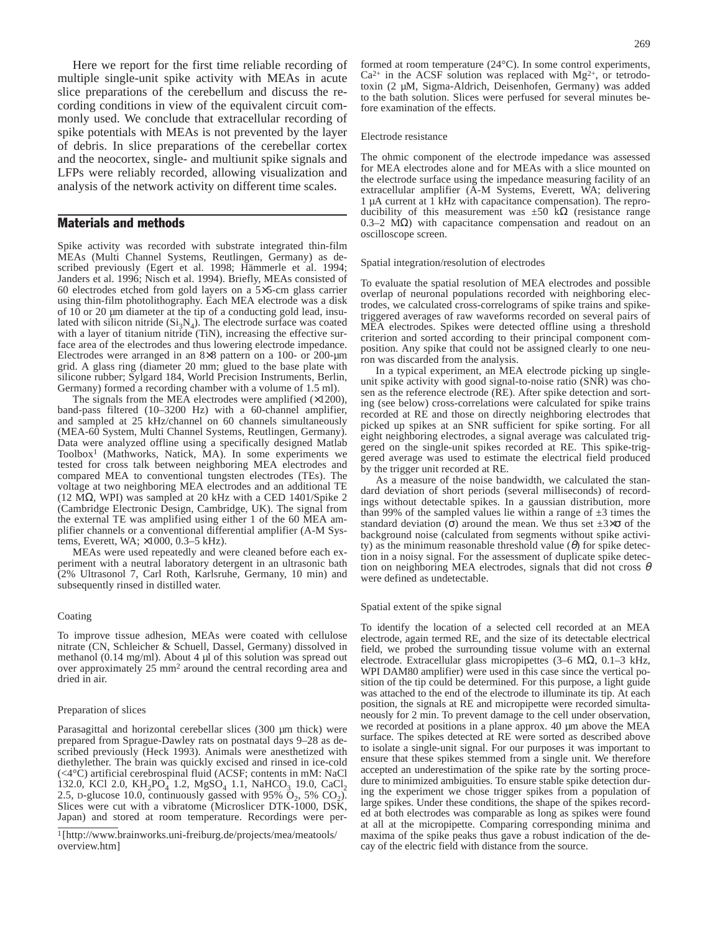Here we report for the first time reliable recording of multiple single-unit spike activity with MEAs in acute slice preparations of the cerebellum and discuss the recording conditions in view of the equivalent circuit commonly used. We conclude that extracellular recording of spike potentials with MEAs is not prevented by the layer of debris. In slice preparations of the cerebellar cortex and the neocortex, single- and multiunit spike signals and LFPs were reliably recorded, allowing visualization and analysis of the network activity on different time scales.

## Materials and methods

Spike activity was recorded with substrate integrated thin-film MEAs (Multi Channel Systems, Reutlingen, Germany) as described previously (Egert et al. 1998; Hämmerle et al. 1994; Janders et al. 1996; Nisch et al. 1994). Briefly, MEAs consisted of 60 electrodes etched from gold layers on a 5×5-cm glass carrier using thin-film photolithography. Each MEA electrode was a disk of 10 or 20 µm diameter at the tip of a conducting gold lead, insulated with silicon nitride  $(Si<sub>3</sub>N<sub>4</sub>)$ . The electrode surface was coated with a layer of titanium nitride (TiN), increasing the effective surface area of the electrodes and thus lowering electrode impedance. Electrodes were arranged in an 8×8 pattern on a 100- or 200-µm grid. A glass ring (diameter 20 mm; glued to the base plate with silicone rubber; Sylgard 184, World Precision Instruments, Berlin, Germany) formed a recording chamber with a volume of 1.5 ml).

The signals from the MEA electrodes were amplified  $(\times 1200)$ , band-pass filtered (10–3200 Hz) with a 60-channel amplifier, and sampled at 25 kHz/channel on 60 channels simultaneously (MEA-60 System, Multi Channel Systems, Reutlingen, Germany). Data were analyzed offline using a specifically designed Matlab Toolbox1 (Mathworks, Natick, MA). In some experiments we tested for cross talk between neighboring MEA electrodes and compared MEA to conventional tungsten electrodes (TEs). The voltage at two neighboring MEA electrodes and an additional TE (12 MΩ, WPI) was sampled at 20 kHz with a CED 1401/Spike 2 (Cambridge Electronic Design, Cambridge, UK). The signal from the external TE was amplified using either 1 of the 60 MEA amplifier channels or a conventional differential amplifier (A-M Systems, Everett, WA; ×1000, 0.3–5 kHz).

MEAs were used repeatedly and were cleaned before each experiment with a neutral laboratory detergent in an ultrasonic bath (2% Ultrasonol 7, Carl Roth, Karlsruhe, Germany, 10 min) and subsequently rinsed in distilled water.

#### Coating

To improve tissue adhesion, MEAs were coated with cellulose nitrate (CN, Schleicher & Schuell, Dassel, Germany) dissolved in methanol (0.14 mg/ml). About 4 µl of this solution was spread out over approximately 25 mm2 around the central recording area and dried in air.

## Preparation of slices

Parasagittal and horizontal cerebellar slices (300 µm thick) were prepared from Sprague-Dawley rats on postnatal days 9–28 as described previously (Heck 1993). Animals were anesthetized with diethylether. The brain was quickly excised and rinsed in ice-cold (<4°C) artificial cerebrospinal fluid (ACSF; contents in mM: NaCl 132.0, KCl 2.0, KH<sub>2</sub>PO<sub>4</sub> 1.2, MgSO<sub>4</sub> 1.1, NaHCO<sub>3</sub> 19.0, CaCl<sub>2</sub> 2.5, D-glucose 10.0, continuously gassed with 95%  $O_2$ , 5%  $CO_2$ ). Slices were cut with a vibratome (Microslicer DTK-1000, DSK, Japan) and stored at room temperature. Recordings were per-

<sup>1</sup> [http://www.brainworks.uni-freiburg.de/projects/mea/meatools/ overview.htm]

formed at room temperature (24°C). In some control experiments,  $Ca<sup>2+</sup>$  in the ACSF solution was replaced with Mg<sup>2+</sup>, or tetrodotoxin (2 µM, Sigma-Aldrich, Deisenhofen, Germany) was added to the bath solution. Slices were perfused for several minutes before examination of the effects.

### Electrode resistance

The ohmic component of the electrode impedance was assessed for MEA electrodes alone and for MEAs with a slice mounted on the electrode surface using the impedance measuring facility of an extracellular amplifier (A-M Systems, Everett, WA; delivering 1 µA current at 1 kHz with capacitance compensation). The reproducibility of this measurement was  $\pm 50 \text{ k}\Omega$  (resistance range 0.3–2 MΩ) with capacitance compensation and readout on an oscilloscope screen.

#### Spatial integration/resolution of electrodes

To evaluate the spatial resolution of MEA electrodes and possible overlap of neuronal populations recorded with neighboring electrodes, we calculated cross-correlograms of spike trains and spiketriggered averages of raw waveforms recorded on several pairs of MEA electrodes. Spikes were detected offline using a threshold criterion and sorted according to their principal component composition. Any spike that could not be assigned clearly to one neuron was discarded from the analysis.

In a typical experiment, an MEA electrode picking up singleunit spike activity with good signal-to-noise ratio (SNR) was chosen as the reference electrode (RE). After spike detection and sorting (see below) cross-correlations were calculated for spike trains recorded at RE and those on directly neighboring electrodes that picked up spikes at an SNR sufficient for spike sorting. For all eight neighboring electrodes, a signal average was calculated triggered on the single-unit spikes recorded at RE. This spike-triggered average was used to estimate the electrical field produced by the trigger unit recorded at RE.

As a measure of the noise bandwidth, we calculated the standard deviation of short periods (several milliseconds) of recordings without detectable spikes. In a gaussian distribution, more than 99% of the sampled values lie within a range of  $\pm 3$  times the standard deviation (σ) around the mean. We thus set  $\pm 3 \times \sigma$  of the background noise (calculated from segments without spike activity) as the minimum reasonable threshold value  $(\theta)$  for spike detection in a noisy signal. For the assessment of duplicate spike detection on neighboring MEA electrodes, signals that did not cross  $\theta$ were defined as undetectable.

## Spatial extent of the spike signal

To identify the location of a selected cell recorded at an MEA electrode, again termed RE, and the size of its detectable electrical field, we probed the surrounding tissue volume with an external electrode. Extracellular glass micropipettes  $(3-6$  MΩ,  $0.1-3$  kHz, WPI DAM80 amplifier) were used in this case since the vertical position of the tip could be determined. For this purpose, a light guide was attached to the end of the electrode to illuminate its tip. At each position, the signals at RE and micropipette were recorded simultaneously for 2 min. To prevent damage to the cell under observation, we recorded at positions in a plane approx. 40 µm above the MEA surface. The spikes detected at RE were sorted as described above to isolate a single-unit signal. For our purposes it was important to ensure that these spikes stemmed from a single unit. We therefore accepted an underestimation of the spike rate by the sorting procedure to minimized ambiguities. To ensure stable spike detection during the experiment we chose trigger spikes from a population of large spikes. Under these conditions, the shape of the spikes recorded at both electrodes was comparable as long as spikes were found at all at the micropipette. Comparing corresponding minima and maxima of the spike peaks thus gave a robust indication of the decay of the electric field with distance from the source.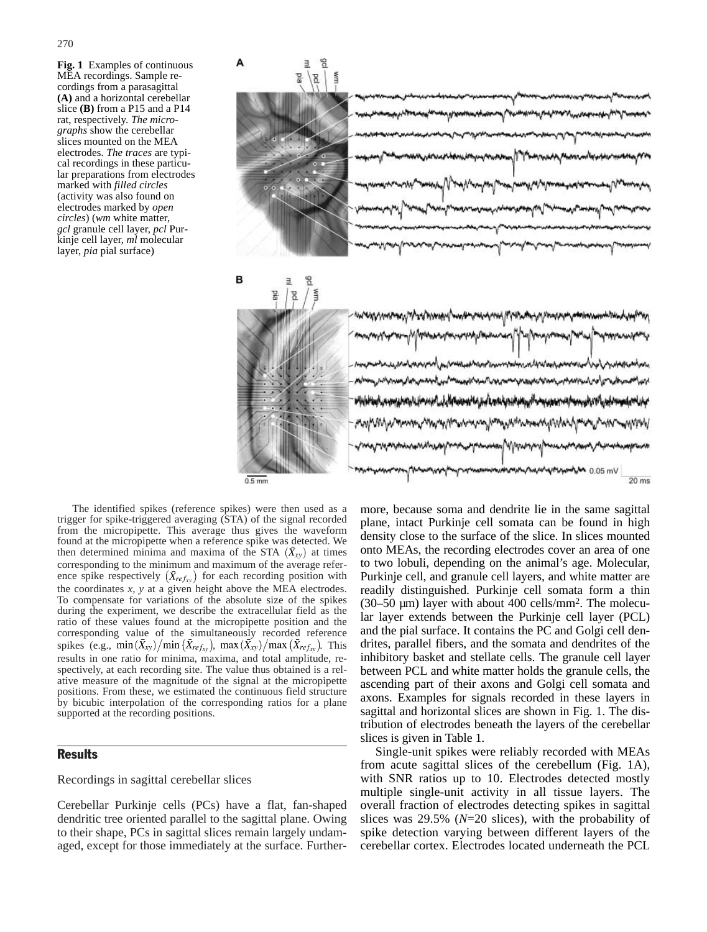**Fig. 1** Examples of continuous MEA recordings. Sample recordings from a parasagittal **(A)** and a horizontal cerebellar slice **(B)** from a P15 and a P14 rat, respectively. *The micrographs* show the cerebellar slices mounted on the MEA electrodes. *The traces* are typical recordings in these particular preparations from electrodes marked with *filled circles* (activity was also found on electrodes marked by *open circles*) (*wm* white matter, *gcl* granule cell layer, *pcl* Purkinje cell layer, *ml* molecular layer, *pia* pial surface)



The identified spikes (reference spikes) were then used as a trigger for spike-triggered averaging (STA) of the signal recorded from the micropipette. This average thus gives the waveform found at the micropipette when a reference spike was detected. We then determined minima and maxima of the STA  $(\bar{X}_{xy})$  at times corresponding to the minimum and maximum of the average reference spike respectively  $(X_{ref_{xy}})$  for each recording position with the coordinates *x, y* at a given height above the MEA electrodes. To compensate for variations of the absolute size of the spikes during the experiment, we describe the extracellular field as the ratio of these values found at the micropipette position and the corresponding value of the simultaneously recorded reference spikes (e.g.,  $\min(\bar{X}_{xy})/\min(\bar{X}_{ref_{xy}})$ ,  $\max(\bar{X}_{xy})/\max(X_{ref_{xy}})$ . This results in one ratio for minima, maxima, and total amplitude, respectively, at each recording site. The value thus obtained is a relative measure of the magnitude of the signal at the micropipette positions. From these, we estimated the continuous field structure by bicubic interpolation of the corresponding ratios for a plane supported at the recording positions.

# **Results**

## Recordings in sagittal cerebellar slices

Cerebellar Purkinje cells (PCs) have a flat, fan-shaped dendritic tree oriented parallel to the sagittal plane. Owing to their shape, PCs in sagittal slices remain largely undamaged, except for those immediately at the surface. Furthermore, because soma and dendrite lie in the same sagittal plane, intact Purkinje cell somata can be found in high density close to the surface of the slice. In slices mounted onto MEAs, the recording electrodes cover an area of one to two lobuli, depending on the animal's age. Molecular, Purkinje cell, and granule cell layers, and white matter are readily distinguished. Purkinje cell somata form a thin  $(30-50 \mu m)$  layer with about 400 cells/mm<sup>2</sup>. The molecular layer extends between the Purkinje cell layer (PCL) and the pial surface. It contains the PC and Golgi cell dendrites, parallel fibers, and the somata and dendrites of the inhibitory basket and stellate cells. The granule cell layer between PCL and white matter holds the granule cells, the ascending part of their axons and Golgi cell somata and axons. Examples for signals recorded in these layers in sagittal and horizontal slices are shown in Fig. 1. The distribution of electrodes beneath the layers of the cerebellar slices is given in Table 1.

Single-unit spikes were reliably recorded with MEAs from acute sagittal slices of the cerebellum (Fig. 1A), with SNR ratios up to 10. Electrodes detected mostly multiple single-unit activity in all tissue layers. The overall fraction of electrodes detecting spikes in sagittal slices was 29.5% (*N*=20 slices), with the probability of spike detection varying between different layers of the cerebellar cortex. Electrodes located underneath the PCL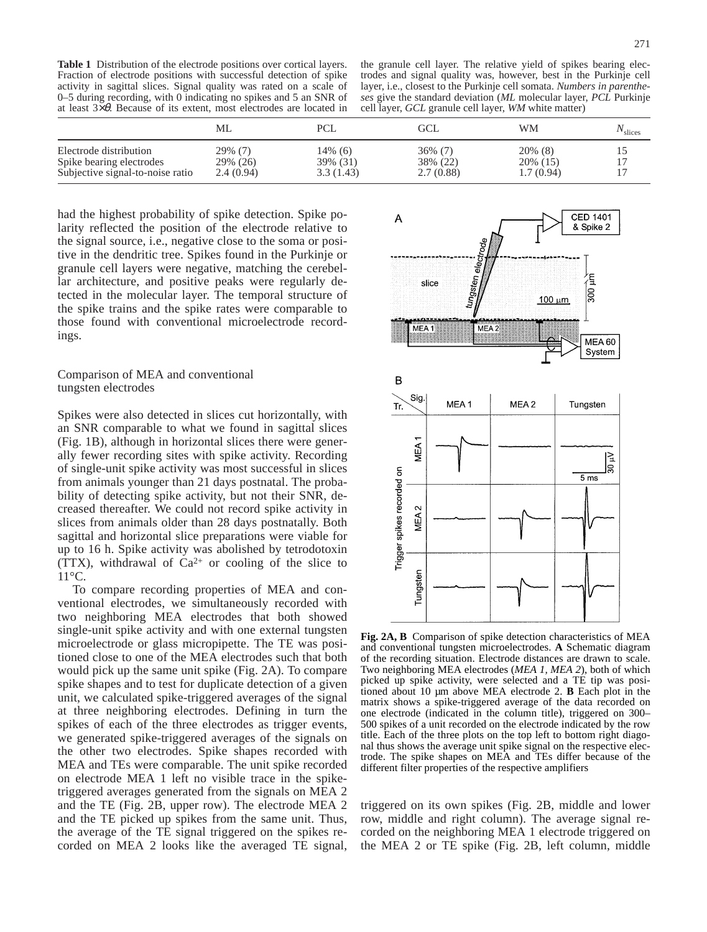**Table 1** Distribution of the electrode positions over cortical layers. Fraction of electrode positions with successful detection of spike activity in sagittal slices. Signal quality was rated on a scale of 0–5 during recording, with 0 indicating no spikes and 5 an SNR of at least  $3\times\theta$ . Because of its extent, most electrodes are located in

the granule cell layer. The relative yield of spikes bearing electrodes and signal quality was, however, best in the Purkinje cell layer, i.e., closest to the Purkinje cell somata. *Numbers in parentheses* give the standard deviation (*ML* molecular layer, *PCL* Purkinje cell layer, *GCL* granule cell layer, *WM* white matter)

|                                  | ML        | <b>PCL</b> | GCL        | WМ        | <sup>1</sup> v <sub>slices</sub> |
|----------------------------------|-----------|------------|------------|-----------|----------------------------------|
| Electrode distribution           | 29% (7)   | 14% (6)    | $36\%$ (7) | 20% (8)   |                                  |
| Spike bearing electrodes         | 29% (26)  | 39% (31)   | 38% (22)   | 20% (15)  |                                  |
| Subjective signal-to-noise ratio | 2.4(0.94) | 3.3(1.43)  | 2.7(0.88)  | 1.7(0.94) |                                  |

had the highest probability of spike detection. Spike polarity reflected the position of the electrode relative to the signal source, i.e., negative close to the soma or positive in the dendritic tree. Spikes found in the Purkinje or granule cell layers were negative, matching the cerebellar architecture, and positive peaks were regularly detected in the molecular layer. The temporal structure of the spike trains and the spike rates were comparable to those found with conventional microelectrode recordings.

## Comparison of MEA and conventional tungsten electrodes

Spikes were also detected in slices cut horizontally, with an SNR comparable to what we found in sagittal slices (Fig. 1B), although in horizontal slices there were generally fewer recording sites with spike activity. Recording of single-unit spike activity was most successful in slices from animals younger than 21 days postnatal. The probability of detecting spike activity, but not their SNR, decreased thereafter. We could not record spike activity in slices from animals older than 28 days postnatally. Both sagittal and horizontal slice preparations were viable for up to 16 h. Spike activity was abolished by tetrodotoxin (TTX), withdrawal of  $Ca^{2+}$  or cooling of the slice to 11°C.

To compare recording properties of MEA and conventional electrodes, we simultaneously recorded with two neighboring MEA electrodes that both showed single-unit spike activity and with one external tungsten microelectrode or glass micropipette. The TE was positioned close to one of the MEA electrodes such that both would pick up the same unit spike (Fig. 2A). To compare spike shapes and to test for duplicate detection of a given unit, we calculated spike-triggered averages of the signal at three neighboring electrodes. Defining in turn the spikes of each of the three electrodes as trigger events, we generated spike-triggered averages of the signals on the other two electrodes. Spike shapes recorded with MEA and TEs were comparable. The unit spike recorded on electrode MEA 1 left no visible trace in the spiketriggered averages generated from the signals on MEA 2 and the TE (Fig. 2B, upper row). The electrode MEA 2 and the TE picked up spikes from the same unit. Thus, the average of the TE signal triggered on the spikes recorded on MEA 2 looks like the averaged TE signal,



**Fig. 2A, B** Comparison of spike detection characteristics of MEA and conventional tungsten microelectrodes. **A** Schematic diagram of the recording situation. Electrode distances are drawn to scale. Two neighboring MEA electrodes (*MEA 1, MEA 2*), both of which picked up spike activity, were selected and a TE tip was positioned about 10 µm above MEA electrode 2. **B** Each plot in the matrix shows a spike-triggered average of the data recorded on one electrode (indicated in the column title), triggered on 300– 500 spikes of a unit recorded on the electrode indicated by the row title. Each of the three plots on the top left to bottom right diagonal thus shows the average unit spike signal on the respective electrode. The spike shapes on MEA and TEs differ because of the different filter properties of the respective amplifiers

triggered on its own spikes (Fig. 2B, middle and lower row, middle and right column). The average signal recorded on the neighboring MEA 1 electrode triggered on the MEA 2 or TE spike (Fig. 2B, left column, middle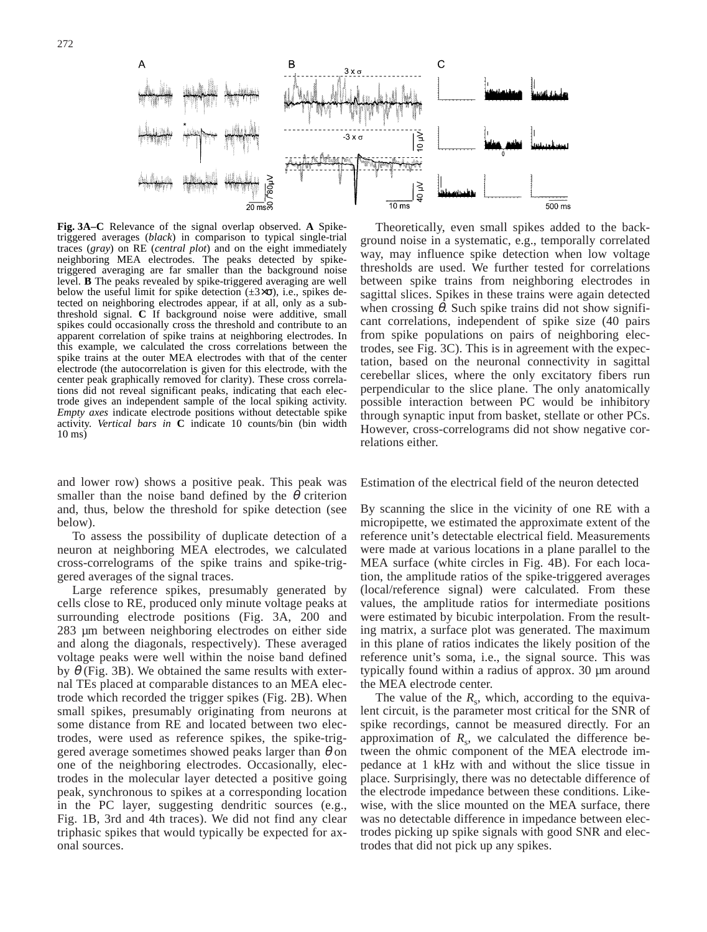

**Fig. 3A–C** Relevance of the signal overlap observed. **A** Spiketriggered averages (*black*) in comparison to typical single-trial traces (*gray*) on RE (*central plot*) and on the eight immediately neighboring MEA electrodes. The peaks detected by spiketriggered averaging are far smaller than the background noise level. **B** The peaks revealed by spike-triggered averaging are well below the useful limit for spike detection  $(\pm 3 \times \sigma)$ , i.e., spikes detected on neighboring electrodes appear, if at all, only as a subthreshold signal. **C** If background noise were additive, small spikes could occasionally cross the threshold and contribute to an apparent correlation of spike trains at neighboring electrodes. In this example, we calculated the cross correlations between the spike trains at the outer MEA electrodes with that of the center electrode (the autocorrelation is given for this electrode, with the center peak graphically removed for clarity). These cross correlations did not reveal significant peaks, indicating that each electrode gives an independent sample of the local spiking activity. *Empty axes* indicate electrode positions without detectable spike activity. *Vertical bars in* **C** indicate 10 counts/bin (bin width 10 ms)

and lower row) shows a positive peak. This peak was smaller than the noise band defined by the  $\theta$  criterion and, thus, below the threshold for spike detection (see below).

To assess the possibility of duplicate detection of a neuron at neighboring MEA electrodes, we calculated cross-correlograms of the spike trains and spike-triggered averages of the signal traces.

Large reference spikes, presumably generated by cells close to RE, produced only minute voltage peaks at surrounding electrode positions (Fig. 3A, 200 and 283 µm between neighboring electrodes on either side and along the diagonals, respectively). These averaged voltage peaks were well within the noise band defined by  $\theta$  (Fig. 3B). We obtained the same results with external TEs placed at comparable distances to an MEA electrode which recorded the trigger spikes (Fig. 2B). When small spikes, presumably originating from neurons at some distance from RE and located between two electrodes, were used as reference spikes, the spike-triggered average sometimes showed peaks larger than  $\theta$  on one of the neighboring electrodes. Occasionally, electrodes in the molecular layer detected a positive going peak, synchronous to spikes at a corresponding location in the PC layer, suggesting dendritic sources (e.g., Fig. 1B, 3rd and 4th traces). We did not find any clear triphasic spikes that would typically be expected for axonal sources.

Theoretically, even small spikes added to the background noise in a systematic, e.g., temporally correlated way, may influence spike detection when low voltage thresholds are used. We further tested for correlations between spike trains from neighboring electrodes in sagittal slices. Spikes in these trains were again detected when crossing  $\theta$ . Such spike trains did not show significant correlations, independent of spike size (40 pairs from spike populations on pairs of neighboring electrodes, see Fig. 3C). This is in agreement with the expectation, based on the neuronal connectivity in sagittal cerebellar slices, where the only excitatory fibers run perpendicular to the slice plane. The only anatomically possible interaction between PC would be inhibitory through synaptic input from basket, stellate or other PCs. However, cross-correlograms did not show negative correlations either.

Estimation of the electrical field of the neuron detected

By scanning the slice in the vicinity of one RE with a micropipette, we estimated the approximate extent of the reference unit's detectable electrical field. Measurements were made at various locations in a plane parallel to the MEA surface (white circles in Fig. 4B). For each location, the amplitude ratios of the spike-triggered averages (local/reference signal) were calculated. From these values, the amplitude ratios for intermediate positions were estimated by bicubic interpolation. From the resulting matrix, a surface plot was generated. The maximum in this plane of ratios indicates the likely position of the reference unit's soma, i.e., the signal source. This was typically found within a radius of approx. 30 µm around the MEA electrode center.

The value of the  $R_s$ , which, according to the equivalent circuit, is the parameter most critical for the SNR of spike recordings, cannot be measured directly. For an approximation of  $R_s$ , we calculated the difference between the ohmic component of the MEA electrode impedance at 1 kHz with and without the slice tissue in place. Surprisingly, there was no detectable difference of the electrode impedance between these conditions. Likewise, with the slice mounted on the MEA surface, there was no detectable difference in impedance between electrodes picking up spike signals with good SNR and electrodes that did not pick up any spikes.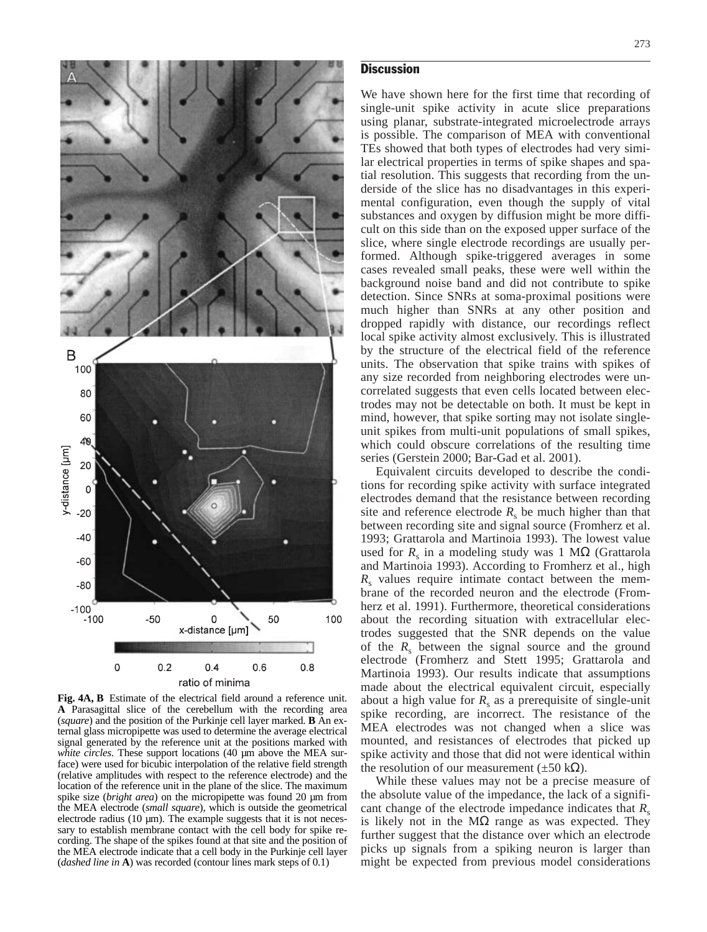

**Fig. 4A, B** Estimate of the electrical field around a reference unit. **A** Parasagittal slice of the cerebellum with the recording area (*square*) and the position of the Purkinje cell layer marked. **B** An external glass micropipette was used to determine the average electrical signal generated by the reference unit at the positions marked with *white circles*. These support locations (40 µm above the MEA surface) were used for bicubic interpolation of the relative field strength (relative amplitudes with respect to the reference electrode) and the location of the reference unit in the plane of the slice. The maximum spike size (*bright area*) on the micropipette was found 20 µm from the MEA electrode (*small square*), which is outside the geometrical electrode radius  $(10 \mu m)$ . The example suggests that it is not necessary to establish membrane contact with the cell body for spike recording. The shape of the spikes found at that site and the position of the MEA electrode indicate that a cell body in the Purkinje cell layer (*dashed line in* **A**) was recorded (contour lines mark steps of 0.1)

## **Discussion**

We have shown here for the first time that recording of single-unit spike activity in acute slice preparations using planar, substrate-integrated microelectrode arrays is possible. The comparison of MEA with conventional TEs showed that both types of electrodes had very similar electrical properties in terms of spike shapes and spatial resolution. This suggests that recording from the underside of the slice has no disadvantages in this experimental configuration, even though the supply of vital substances and oxygen by diffusion might be more difficult on this side than on the exposed upper surface of the slice, where single electrode recordings are usually performed. Although spike-triggered averages in some cases revealed small peaks, these were well within the background noise band and did not contribute to spike detection. Since SNRs at soma-proximal positions were much higher than SNRs at any other position and dropped rapidly with distance, our recordings reflect local spike activity almost exclusively. This is illustrated by the structure of the electrical field of the reference units. The observation that spike trains with spikes of any size recorded from neighboring electrodes were uncorrelated suggests that even cells located between electrodes may not be detectable on both. It must be kept in mind, however, that spike sorting may not isolate singleunit spikes from multi-unit populations of small spikes, which could obscure correlations of the resulting time series (Gerstein 2000; Bar-Gad et al. 2001).

Equivalent circuits developed to describe the conditions for recording spike activity with surface integrated electrodes demand that the resistance between recording site and reference electrode  $R<sub>s</sub>$  be much higher than that between recording site and signal source (Fromherz et al. 1993; Grattarola and Martinoia 1993). The lowest value used for  $R_s$  in a modeling study was 1 M $\Omega$  (Grattarola and Martinoia 1993). According to Fromherz et al., high  $R<sub>s</sub>$  values require intimate contact between the membrane of the recorded neuron and the electrode (Fromherz et al. 1991). Furthermore, theoretical considerations about the recording situation with extracellular electrodes suggested that the SNR depends on the value of the  $R_s$  between the signal source and the ground electrode (Fromherz and Stett 1995; Grattarola and Martinoia 1993). Our results indicate that assumptions made about the electrical equivalent circuit, especially about a high value for  $R_s$  as a prerequisite of single-unit spike recording, are incorrect. The resistance of the MEA electrodes was not changed when a slice was mounted, and resistances of electrodes that picked up spike activity and those that did not were identical within the resolution of our measurement ( $\pm 50 \text{ k}\Omega$ ).

While these values may not be a precise measure of the absolute value of the impedance, the lack of a significant change of the electrode impedance indicates that  $R_s$ is likely not in the  $M\Omega$  range as was expected. They further suggest that the distance over which an electrode picks up signals from a spiking neuron is larger than might be expected from previous model considerations